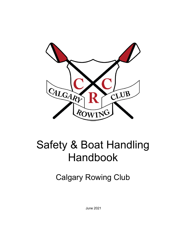

# Safety & Boat Handling Handbook

Calgary Rowing Club

June 2021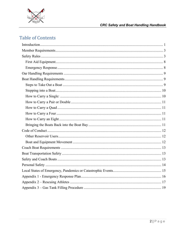

## **CRC Safety and Boat Handling Handbook**

# **Table of Contents**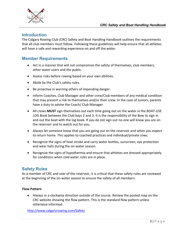

## **Introduction**

The Calgary Rowing Club (CRC) Safety and Boat Handling Handbook outlines the requirements that all club members must follow. Following these guidelines will help ensure that all athletes will have a safe and rewarding experience on and off the water.

## **Member Requirements**

- Act in a manner that will not compromise the safety of themselves, club members, other water users and the public.
- Assess risks before rowing based on your own abilities.
- Abide by the Club's safety rules.
- Be proactive in warning others of impending danger.
- Inform Coaches, Club Manager and other crew/Club members of any medical condition that may present a risk to themselves and/or their crew. In the case of Juniors, parents have a duty to advise the Coach/ Club Manager.
- All crews **MUST** sign themselves out each time going out on the water in the BOAT-USE LOG Book between the Club bays 2 and 3. It is the responsibility of the Bow to sign in and out the boat with the log book. If you do not sign out no-one will know you are on the reservoir and to watch out for you.
- Always let someone know that you are going out on the reservoir and when you expect to return home. This applies to coached practices and individual/private rows.
- Recognize the signs of heat stroke and carry water bottles, sunscreen, eye protection and wear hats during the on-water season.
- Recognize the signs of hypothermia and ensure that athletes are dressed appropriately for conditions when cold water rules are in place.

## **Safety Rules**

As a member of CRC and user of the reservoir, it is critical that these safety rules are reviewed at the beginning of the on-water season to ensure the safety of all members.

#### **Flow Pattern**

• Always in a clockwise direction outside of the course. Review the posted map on the CRC website showing the flow pattern. This is the standard flow pattern unless otherwise informed.

http://www.calgaryrowing.com/Safety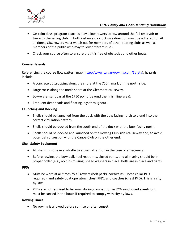

## *CRC Safety and Boat Handling Handbook*

- On calm days, program coaches may allow rowers to row around the full reservoir or towards the sailing club. In both instances, a clockwise direction must be adhered to. At all times, CRC rowers must watch out for members of other boating clubs as well as members of the public who may follow different rules.
- Check your course often to ensure that it is free of obstacles and other boats.

#### **Course Hazards**

Referencing the course flow pattern map (http://www.calgaryrowing.com/Safety), hazards include:

- A concrete outcropping along the shore at the 750m mark on the north side.
- Large rocks along the north shore at the Glenmore causeway.
- Low-water sandbar at the 1750 point (beyond the finish line area).
- Frequent deadheads and floating logs throughout.

#### **Launching and Docking**

- Shells should be launched from the dock with the bow facing north to blend into the correct circulation pattern.
- Shells should be docked from the south end of the dock with the bow facing north.
- Shells should be docked and launched on the Rowing Club side (causeway end) to avoid potential congestion with the Canoe Club on the other end.

#### **Shell Safety Equipment**

- All shells must have a whistle to attract attention in the case of emergency.
- Before rowing, the bow ball, heel restraints, closed vents, and all rigging should be in proper order (e.g., no pins missing, speed washers in place, bolts are in place and tight).

#### **PFDs**

- Must be worn at all times by all rowers (belt pack), coxswains (Horse collar PFD required), and safety boat operators (chest PFD), and coaches (chest PFD). This is a city by-law.
- PFDs are not required to be worn during competition in RCA sanctioned events but must be carried in the boats if required to comply with city by-laws.

#### **Rowing Times**

• No rowing is allowed before sunrise or after sunset.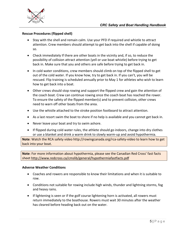

## **Rescue Procedures (flipped shell)**

- Stay with the shell and remain calm. Use your PFD if required and whistle to attract attention. Crew members should attempt to get back into the shell if capable of doing so.
- Check immediately If there are other boats in the vicinity and, if so, to reduce the possibility of collision attract attention (yell or use boat whistle) before trying to get back in. Make sure that you and others are safe before trying to get back in.
- In cold water conditions, crew members should climb on top of the flipped shell to get out of the cold water. If you know how, try to get back in. If you can't, you will be rescued. Flip training is scheduled annually prior to May 1 for athletes who wish to learn how to get back into a boat.
- Other crews should stop rowing and support the flipped crew and gain the attention of the coach boat. Crew can continue rowing once the coach boat has reached the rower. To ensure the safety of the flipped member(s) and to prevent collision, other crews need to warn off other boats from the area.
- Use the whistle attached to the stroke position footboard to attract attention.
- As a last resort swim the boat to shore if no help is available and you cannot get back in.
- Never leave your boat and try to swim ashore.
- If flipped during cold water rules, the athlete should go indoors, change into dry clothes or use a blanket and drink a warm drink to slowly warm-up and avoid hypothermia.

**Note**: Watch the RCA safety video http://rowingcanada.org/rca-safety-video to learn how to get back into your boat.

**Note**: For more information about hypothermia, please see the Canadian Red Cross' fast facts sheet http://www.redcross.ca/cmslib/general/hypothermiafastfacts.pdf

#### **Adverse Weather Conditions**

- Coaches and rowers are responsible to know their limitations and when it is suitable to row.
- Conditions not suitable for rowing include high winds, thunder and lightning storms, fog and heavy rains.
- If lightening is seen or if the golf course lightening horn is activated, all rowers must return immediately to the boathouse. Rowers must wait 30 minutes after the weather has cleared before heading back out on the water.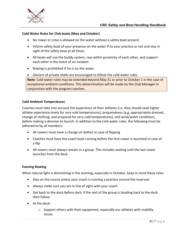

## **Cold Water Rules for Club boats (May and October)**

- No rower or crew is allowed on the water without a safety boat present.
- Inform safety boat of your presence on the water if its your practice or not and stay in sight of the safety boat at all times.
- All boats will use the buddy system, row within proximity of each other, and support each other in the event of an incident.
- Rowing is prohibited if ice is on the water.
- Owners of private shells are encouraged to follow the cold-water rules.

**Note**: Cold water rules may be extended beyond May 31 or prior to October 1 in the case of exceptional ambient conditions. This determination will be made by the Club Manager in conjunction with the program coaches.

#### **Cold Ambient Temperatures**

Coaches must take into account the experience of their athletes (i.e. they should seek higher athlete experience levels for very cold temperatures), preparedness (e.g. appropriately dressed, change of clothing, and prepared for very cold temperatures), and wind/water conditions, before making a decision to launch. In addition to the cold-water rules, the following must be adhered to by all members:

- All rowers must have a change of clothes in case of flipping
- Coaches must have the coach boat running before the first rower is launched in case of a flip
- All rowers must always remain in a group. This includes waiting until the last rower launches from the dock.

#### **Evening Rowing**

When natural light is diminishing in the evening, especially in October, keep in mind these rules:

- Stay on the course unless your coach is running a practice around the reservoir.
- Always make sure you are in line of sight with your coach.
- Get back to the dock before dark. If the rest of the group is heading back to the dock then follow.
- At the dock:
	- $\circ$  Support others with their equipment, especially our athletes with mobility issues.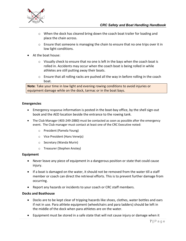

- o When the dock has cleared bring down the coach boat trailer for loading and place the chain across.
- $\circ$  Ensure that someone is managing the chain to ensure that no one trips over it in low light conditions.
- At the boat house:
	- $\circ$  Visually check to ensure that no one is left in the bays when the coach boat is rolled in. Accidents may occur when the coach boat is being rolled in while athletes are still putting away their boats.
	- $\circ$  Ensure that all rolling racks are pushed all the way in before rolling in the coach boat.

**Note**: Take your time in low light and evening rowing conditions to avoid injuries or equipment damage while on the dock, tarmac or in the boat bays.

## **Emergencies**

- Emergency response information is posted in the boat-bay office, by the shell sign-out book and the AED location beside the entrance to the rowing tank.
- The Club Manager (403-249-2880) must be contacted as soon as possible after the emergency event. The Club manager must contact at least one of the CRC Executive noted:
	- o President (Pamela Young)
	- o Vice President (Hans Verwijs)
	- o Secretary (Wanda Murin)
	- o Treasurer (Stephen Anstey)

#### **Equipment**

- Never leave any piece of equipment in a dangerous position or state that could cause injury.
- If a boat is damaged on the water, it should not be removed from the water till a staff member or coach can direct the retrieval efforts. This is to prevent further damage from occurring.
- Report any hazards or incidents to your coach or CRC staff members.

#### **Docks and Boathouse**

- Docks are to be kept clear of tripping hazards like shoes, clothes, water bottles and oars if not in use. Para athlete equipment (wheelchairs and para ladders) should be left in the middle of the dock when para athletes are on the water.
- Equipment must be stored in a safe state that will not cause injury or damage when it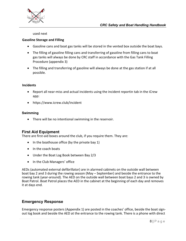

used next

#### **Gasoline Storage and Filling**

- Gasoline cans and boat gas tanks will be stored in the vented box outside the boat bays.
- The filling of gasoline filling cans and transferring of gasoline from filling cans to boat gas tanks will always be done by CRC staff in accordance with the Gas Tank Filling Procedure (appendix 3)
- The filling and transferring of gasoline will always be done at the gas station if at all possible.

#### **Incidents**

- Report all near-miss and actual incidents using the incident reportin tab in the iCrew app:
- https://www.icrew.club/incident

## **Swimming**

• There will be no intentional swimming in the reservoir.

## **First Aid Equipment**

There are first-aid boxes around the club, if you require them. They are:

- In the boathouse office (by the private bay 1)
- In the coach boats
- Under the Boat Log Book between Bay 2/3
- In the Club Managers' office

AEDs (automated external defibrillator) are in alarmed cabinets on the outside wall between boat bay 2 and 3 during the rowing season (May – September) and beside the entrance to the rowing tank (year-around). The AED on the outside wall between boat bays 2 and 3 is owned by Boat Patrol. Boat Patrol places the AED in the cabinet at the beginning of each day and removes it at days end.

## **Emergency Response**

Emergency response posters (Appendix 1) are posted in the coaches' office, beside the boat signout log book and beside the AED at the entrance to the rowing tank. There is a phone with direct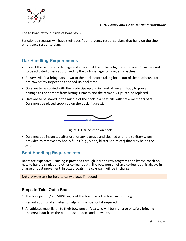

line to Boat Patrol outside of boat bay 3.

Sanctioned regattas will have their specific emergency response plans that build on the club emergency response plan.

## **Oar Handling Requirements**

- Inspect the oar for any damage and check that the collar is tight and secure. Collars are not to be adjusted unless authorized by the club manager or program coaches.
- Rowers will first bring oars down to the dock before taking boats out of the boathouse for pre-row safety inspection to speed up dock time.
- Oars are to be carried with the blade tips up and in front of rower's body to prevent damage to the corners from hitting surfaces and the tarmac. Grips can be replaced.
- Oars are to be stored in the middle of the dock in a neat pile with crew members oars. Oars must be placed spoon up on the dock (figure 1).





• Oars must be inspected after use for any damage and cleaned with the sanitary wipes provided to remove any bodily fluids (e.g., blood, blister serum etc) that may be on the grips.

## **Boat Handling Requirements**

Boats are expensive. Training is provided through learn to row programs and by the coach on how to handle singles and other coxless boats. The bow person of any coxless boat is always in charge of boat movement. In coxed boats, the coxswain will be in charge.

**Note**: Always ask for help to carry a boat if needed.

## **Steps to Take Out a Boat**

- 1. The bow person/cox **MUST** sign out the boat using the boat sign-out log
- 2. Recruit additional athletes to help bring a boat out if required.
- 3. All athletes must listen to their bow person/cox who will be in charge of safely bringing the crew boat from the boathouse to dock and on water.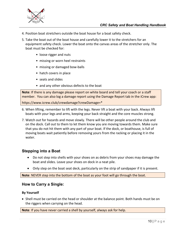

- 4. Position boat stretchers outside the boat house for a boat safety check.
- 5. Take the boat out of the boat house and carefully lower it to the stretchers for an equipment safety check. Lower the boat onto the canvas areas of the stretcher only. The boat must be checked for:
	- loose rigger and nuts
	- missing or worn heel restraints
	- missing or damaged bow-balls
	- hatch covers in place
	- seats and slides
	- and any other obvious defects to the boat

**Note**: If there is any damage please report on white board and tell your coach or a staff member. You can also log a damage report using the Damage Report tab in the iCrew app:

https://www.icrew.club/crewdamage?crewDamage=\*

- 6. When lifting, remember to lift with the legs. Never lift a boat with your back. Always lift boats with your legs and arms, keeping your back straight and the core muscles strong.
- 7. Watch out for hazards and move slowly. There will be other people around the club and on the dock. Call out to them to let them know you are moving towards them. Make sure that you do not hit them with any part of your boat. If the dock, or boathouse, is full of moving boats wait patiently before removing yours from the racking or placing it in the water.

## **Stepping into a Boat**

- Do not step into shells with your shoes on as debris from your shoes may damage the boat and slides. Leave your shoes on dock in a neat pile.
- Only step on the boat seat deck, particularly on the strip of sandpaper if it is present.

**Note**: NEVER step into the bottom of the boat as your foot will go through the boat.

## **How to Carry a Single:**

#### **By Yourself**

• Shell must be carried on the head or shoulder at the balance point. Both hands must be on the riggers when carrying on the head.

**Note**: If you have never carried a shell by yourself, always ask for help.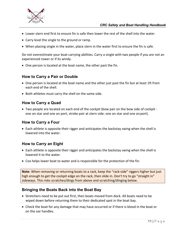

## *CRC Safety and Boat Handling Handbook*

- Lower stern end first to ensure fin is safe then lower the rest of the shell into the water.
- Carry level the single to the ground or ramp.
- When placing single in the water, place stern in the water first to ensure the fin is safe.

Do not overestimate your boat carrying abilities. Carry a single with two people if you are not an experienced rower or if its windy.

• One person is located at the boat name, the other past the fin.

## **How to Carry a Pair or Double**

- One person is located at the boat name and the other just past the fin but at least 1ft from each end of the shell.
- Both athletes must carry the shell on the same side.

## **How to Carry a Quad**

• Two people are located on each end of the cockpit (bow pair on the bow side of cockpit one on star and one on port, stroke pair at stern side: one on star and one onport).

## **How to Carry a Four**

• Each athlete is opposite their rigger and anticipates the backstay swing when the shell is lowered into the water.

## **How to Carry an Eight**

- Each athlete is opposite their rigger and anticipates the backstay swing when the shell is lowered it to the water.
- Cox helps lower boat to water and is responsible for the protection of the fin.

**Note**: When removing or returning boats to a rack, keep the "rack-side" riggers higher but just high enough to get the cockpit edge on the rack, then slide in. Don't try to go "straight in" sideways. This risks scratches/dings from above and scratching/dinging below.

## **Bringing the Boats Back into the Boat Bay**

- Stretchers need to be put out first, then boats moved from dock. All boats need to be wiped down before returning them to their dedicated spot in the boat bay.
- Check the boat for any damage that may have occurred or if there is blood in the boat or on the oar handles.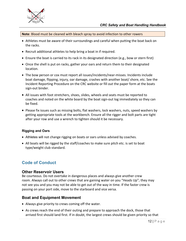

**Note**: Blood must be cleaned with bleach spray to avoid infection to other rowers

- Athletes must be aware of their surroundings and careful when putting the boat back on the racks.
- Recruit additional athletes to help bring a boat in if required.
- Ensure the boat is carried to its rack in its designated direction (e.g., bow or stern first)
- Once the shell is put on racks, gather your oars and return them to their designated location.
- The bow person or cox must report all issues/incidents/near-misses. Incidents include boat damage, flipping, injury, oar damage, crashes with another boat/ shore, etc. See the Incident Reporting Procedure on the CRC website or fill out the paper form at the boats sign-out binder.
- All issues with foot stretchers, shoes, slides, wheels and seats must be reported to coaches and noted on the white board by the boat sign-out log immediately so they can be fixed.
- Please fix issues such as missing bolts, flat washers, lock washers, nuts, speed washers by getting appropriate tools at the workbench. Ensure all the rigger and bolt parts are tight after your row and use a wrench to tighten should it be necessary.

#### **Rigging and Oars**

- Athletes will not change rigging on boats or oars unless advised by coaches.
- All boats will be rigged by the staff/coaches to make sure pitch etc. is set to boat type/weight club standard.

## **Code of Conduct**

## **Other Reservoir Users**

Be courteous. Do not overtake in dangerous places and always give another crew room. Always call out to other crews that are gaining water on you "Heads Up"; they may not see you and you may not be able to get out of the way in time. If the faster crew is passing on your port side, move to the starboard and vice versa.

## **Boat and Equipment Movement**

- Always give priority to crews coming off the water.
- As crews reach the end of their outing and prepare to approach the dock, those that arrived first should land first. If in doubt, the largest crews should be given priority so that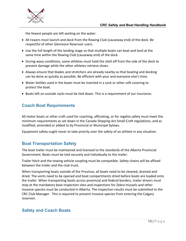

the fewest people are left waiting on the water.

- All rowers must launch and dock from the Rowing Club (causeway end) of the dock. Be respectful of other Glenmore Reservoir users.
- Use the full length of the landing stage so that multiple boats can boat and land at the same time within the Rowing Club (causeway end) of the dock.
- During wavy conditions, some athletes must hold the shell off from the side of the dock to prevent damage while the other athletes retrieve shoes.
- Always ensure that blades and stretchers are already nearby so that boating and docking can be done as quickly as possible. Be efficient with your and everyone else's time.
- Water bottles used in the boats must be inserted in a sock or other soft covering to protect the boat.
- Boats left on outside racks must be tied down. This is a requirement of our insurance.

## **Coach Boat Requirements**

All motor boats or other craft used for coaching, officiating, or for regatta safety must meet the minimum requirements as set down in the Canada Shipping Act-Small Craft regulations, and as modified, amended or added to by Provincial or Municipal bylaws.

Equipment safety ought never to take priority over the safety of an athlete in any situation.

## **Boat Transportation Safety**

The boat trailer must be maintained and licensed to the standards of the Alberta Provincial Government. Boats must be tied securely and individually to the trailer.

Trailer hitch and the towing vehicle coupling must be compatible. Safety chains will be affixed between the trailer and the club truck.

When transporting boats outside of the Province, all boats need to be cleaned, drained and dried. The vents need to be opened and boat compartments dried before boats are loaded onto the trailer. When transporting boats across provincial and federal borders, trailer drivers must stop at the mandatory boat inspection sites and inspections for Zebra mussels and other invasive species must be conducted in Alberta. The inspection results must be submitted to the CRC Club Manager. This is required to prevent invasive species from entering the Calgary reservoir.

## **Safety and Coach Boats**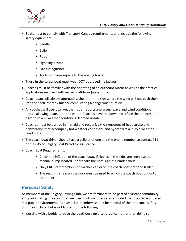

- Boats must to comply with Transport Canada requirements and include the following safety equipment:
	- Paddle
	- Bailer
	- Rope
	- Signaling device
	- Fire extinguisher
	- Tools for minor repairs to the rowing boats
- Those in the safety boat must wear DOT approved life jackets.
- Coaches must be familiar with the operating of an outboard motor as well as the practical applications involved with rescuing athletes (appendix 2).
- Coach boats will always approach a shell from the side where the wind will not push them into the shell, thereby further complicating a dangerous situation.
- All coaches will use local weather radar reports and assess wave and wind conditions before allowing boats onto the water. Coaches have the power to refuse the athletes the right to row in weather conditions deemed unsafe.
- Coaches must be trained in first aid and recognize the symptoms of heat stroke and dehydration that accompany hot weather conditions and hypothermia in cold weather conditions.
- The coach boat driver should have a cellular phone and the phone number to contact 911 or the City of Calgary Boat Patrol for assistance.
- Coach Boat Requirements:
	- Check the inflation of the coach boat. If ripples in the sides are seen use the manual pump located underneath the boat sign-out binder shelf.
	- Only CRC Staff members or coaches can drive the coach boat onto the trailer.
	- The securing chain on the dock must be used to winch the coach boat out onto the trailer

# **Personal Safety**

As members of the Calgary Rowing Club, we are fortunate to be part of a vibrant community and participating in a sport that we love. Club members are reminded that the CRC is situated in a public environment. As such, club members should be mindful of their personal safety. This may include, but is not limited to the following:

• working with a buddy to close the boathouse up after practice, rather than doing so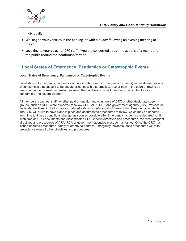

individually.

- Walking to your vehicles in the parking lot with a buddy following an evening meeting at the club.
- speaking to your coach or CRC staff if you are concerned about the actions of a member of the public around the boathouse/tarmac.

## **Local States of Emergency, Pandemics or Catastrophic Events**

#### **Local States of Emergency, Pandemics or Catastrophic Events**

Local states of emergency, pandemics or catastrophic events (Emergency Incidents) will be defined as any circumstances that cause it to be unsafe or not possible to practice, race or train in the sport of rowing as one would under normal circumstances using the Facilities. This includes but is not limited to floods, pandemics, and severe weather.

All members, coaches, staff (whether paid or unpaid) and volunteers of CRC or other designated user groups (such as UCRC) are expected to follow CRC, ARA, RCA and government agency (City, Province or Federal) directives, including new or updated safety procedures, at all times during Emergency Incidents. The CRC will strive to have plans in place and documented procedures to follow, which may be updated from time to time as conditions change, as soon as possible after Emergency Incidents are declared. Until such time as CRC documents and disseminates CRC specific directives and procedures, the most stringent directives and procedures of ARA, RCA or government agencies must be maintained. Once the CRC has issued updated procedures, safety or others, to address Emergency Incidents those procedures will take precedence over all other directives and procedures.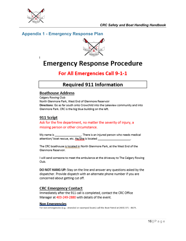

 $\mathbf{I}$ 

## **Appendix 1 - Emergency Response Plan**



# **Emergency Response Procedure**

# For All Emergencies Call 9-1-1

# **Required 911 Information**

## **Boathouse Address**

Calgary Rowing Club North Glenmore Park, West End of Glenmore Reservoir Directions: Go as far south onto Crowchild into the Lakeview community and into Glenmore Park. CRC is the big blue building on the left.

## 911 Script

## Ask for the fire department, no matter the severity of injury, a missing person or other circumstance.

... There is an injured person who needs medical My name is attention/ boat rescue, etc. He/She is located

The CRC boathouse is located in North Glenmore Park, at the West End of the Glenmore Reservoir.

I will send someone to meet the ambulance at the driveway to The Calgary Rowing Club.

DO NOT HANG UP: Stay on the line and answer any questions asked by the dispatcher. Provide dispatch with an alternate phone number if you are concerned about getting cut off.

## **CRC Emergency Contact**

Immediately after the 911 call is completed, contact the CRC Office Manager at 403-249-2880 with details of the event.

#### <u>Non Emergencies</u>

For non-emergencies (e.g.: stranded or swamped boats) call the Boat Patrol at (403) 371 - 8674.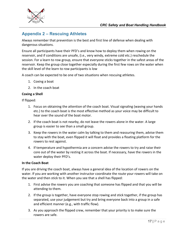

# **Appendix 2 – Rescuing Athletes**

Always remember that prevention is the best and first line of defense when dealing with dangerous situations.

Ensure all participants have their PFD's and know how to deploy them when rowing on the reservoir, and if conditions are unsafe, (i.e., very windy, extreme cold etc.) reschedule the session. For a learn to row group, ensure that everyone sticks together in the safest areas of the reservoir. Keep the group close together especially during the first few rows on the water when the skill level of the learn to row participants is low

A coach can be expected to be one of two situations when rescuing athletes.

- 1. Coxing a boat
- 2. In the coach boat

#### **Coxing a Shell**

If flipped:

- 1. Focus on obtaining the attention of the coach boat. Visual signaling (waving your hands etc.) to the coach boat is the most effective method as your voice may be difficult to hear over the sound of the boat motor.
- 2. If the coach boat is not nearby, do not leave the rowers alone in the water. A large group is easier to see than a small group.
- 3. Keep the rowers in the water calm by talking to them and reassuring them, advise them to stay with the boat, even flipped it will float and provides a floating platform for the rowers to rest against.
- 4. If temperature and hypothermia are a concern advise the rowers to try and raise their core out of the water by resting it across the boat. If necessary, have the rowers in the water deploy their PFD's.

### **In the Coach Boat**

If you are driving the coach boat, always have a general idea of the location of rowers on the water. If you are working with another instructor coordinate the route your rowers will take on the water and then stick to it. When you see that a shell has flipped:

- 1. First advise the rowers you are coaching that someone has flipped and that you will be attending to them.
- 2. If the group is together, have everyone stop rowing and stick together, if the group has separated, use your judgement but try and bring everyone back into a group in a safe and efficient manner (e.g., with traffic flow).
- 3. As you approach the flipped crew, remember that your priority is to make sure the rowers are safe.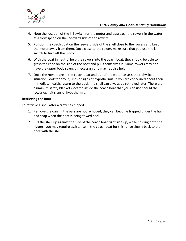

- 4. Note the location of the kill switch for the motor and approach the rowers in the water at a slow speed on the lee-ward side of the rowers.
- 5. Position the coach boat on the leeward side of the shell close to the rowers and keep the motor away from them. Once close to the rower, make sure that you use the kill switch to turn off the motor.
- 6. With the boat in neutral help the rowers into the coach boat, they should be able to grasp the rope on the side of the boat and pull themselves in. Some rowers may not have the upper body strength necessary and may require help.
- 7. Once the rowers are in the coach boat and out of the water, assess their physical situation, look for any injuries or signs of hypothermia. If you are concerned about their immediate health, return to the dock, the shell can always be retrieved later. There are aluminum safety blankets located inside the coach boat that you can use should the rower exhibit signs of hypothermia.

## **Retrieving the Boat**

To retrieve a shell after a crew has flipped:

- 1. Remove the oars. If the oars are not removed, they can become trapped under the hull and snap when the boat is being towed back.
- 2. Pull the shell up against the side of the coach boat right side up, while holding onto the riggers (you may require assistance in the coach boat for this) drive slowly back to the dock with the shell.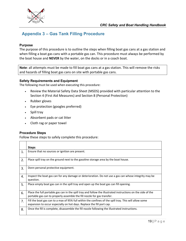

# **Appendix 3 – Gas Tank Filling Procedure**

## **Purpose**

The purpose of this procedure is to outline the steps when filling boat gas cans at a gas station and when filling a boat gas cans with a portable gas can. This procedure must always be performed by the boat house and **NEVER** by the water, on the docks or in a coach boat.

**Note**: all attempts must be made to fill boat gas cans at a gas station. This will remove the risks and hazards of filling boat gas cans on site with portable gas cans.

#### **Safety Requirements and Equipment**

The following must be used when executing this procedure:

- Review the Material Safety Data Sheet (MSDS) provided with particular attention to the Section 4 (First Aid Measures) and Section 8 (Personal Protection)
- Rubber gloves
- Eye protection (googles preferred)
- Spill tray
- Absorbent pads or cat litter
- Cloth rag or paper towel

#### **Procedure Steps**

Follow these steps to safely complete this procedure:

|    | <b>Steps</b>                                                                                                                                                                            |
|----|-----------------------------------------------------------------------------------------------------------------------------------------------------------------------------------------|
| 1. | Ensure that no sources or ignition are present.                                                                                                                                         |
| 2. | Place spill tray on the ground next to the gasoline storage area by the boat house.                                                                                                     |
| 3. | Donn personal protective equipment.                                                                                                                                                     |
| 4. | Inspect the boat gas can for any damage or deterioration. Do not use a gas can whose integrity may be<br>question.                                                                      |
| 5. | Place empty boat gas can in the spill tray and open up the boat gas can fill opening.                                                                                                   |
| 6. | Place the full portable gas can in the spill tray and follow the illustrated instructions on the side of the<br>portable gas can to properly assemble the fill nozzle for gas transfer. |
| 7. | Fill the boat gas can to a max of 95% full within the confines of the spill tray. This will allow some<br>expansion to occur especially on hot days. Replace the fill port cap.         |
| 8. | Once the fill is complete, disassemble the fill nozzle following the illustrated instructions.                                                                                          |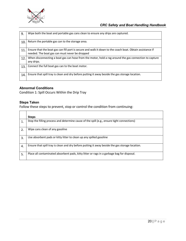

| 9.  | Wipe both the boat and portable gas cans clean to ensure any drips are captured.                                                                            |
|-----|-------------------------------------------------------------------------------------------------------------------------------------------------------------|
| 10  | Return the portable gas can to the storage area.                                                                                                            |
| 11  | Ensure that the boat gas can fill port is secure and walk it down to the coach boat. Obtain assistance if<br>needed. The boat gas can must never be dropped |
| 12. | When disconnecting a boat gas can hose from the motor, hold a rag around the gas connection to capture<br>any drips.                                        |
| 13. | Connect the full boat gas can to the boat motor.                                                                                                            |
| 14  | Ensure that spill tray is clean and dry before putting it away beside the gas storage location.                                                             |

#### **Abnormal Conditions**

Condition 1: Spill Occurs Within the Drip Tray

## **Steps Taken**

Follow these steps to prevent, stop or control the condition from continuing:

|    | <b>Steps</b>                                                                                    |
|----|-------------------------------------------------------------------------------------------------|
| 1. | Stop the filling process and determine cause of the spill (e.g., ensure tight connections)      |
| 2. | Wipe cans clean of any gasoline                                                                 |
| 3. | Use absorbent pads or kitty litter to clean up any spilled gasoline                             |
| 4. | Ensure that spill tray is clean and dry before putting it away beside the gas storage location. |
| 5. | Place all contaminated absorbent pads, kitty litter or rags in a garbage bag for disposal.      |